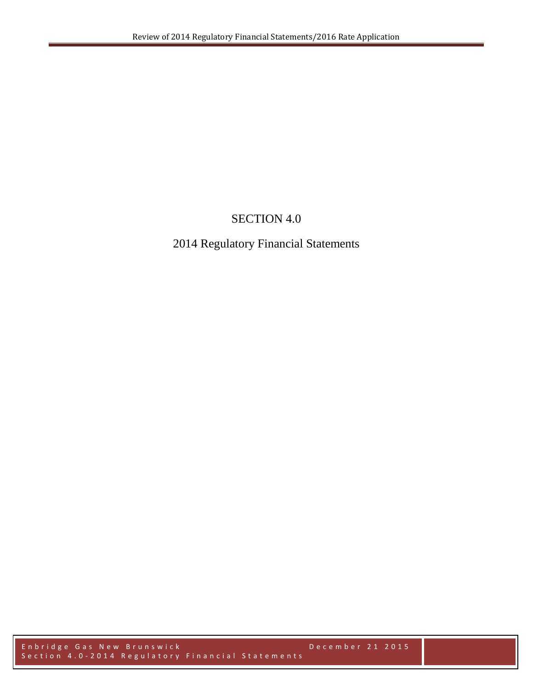# SECTION 4.0

# 2014 Regulatory Financial Statements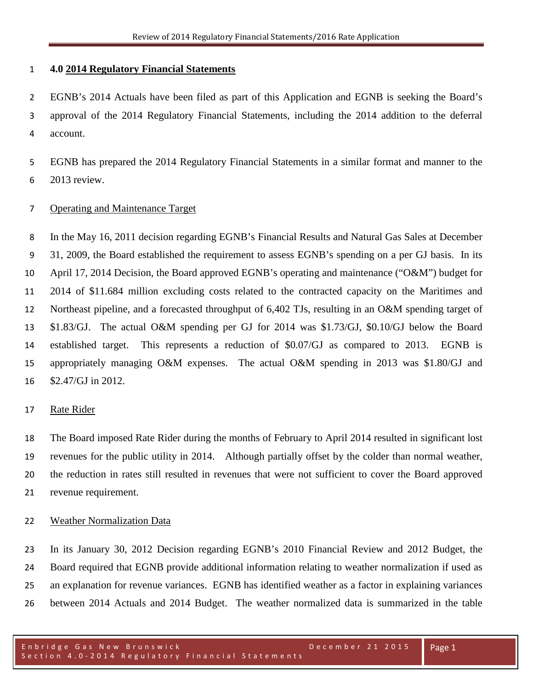## **4.0 2014 Regulatory Financial Statements**

 EGNB's 2014 Actuals have been filed as part of this Application and EGNB is seeking the Board's approval of the 2014 Regulatory Financial Statements, including the 2014 addition to the deferral account.

 EGNB has prepared the 2014 Regulatory Financial Statements in a similar format and manner to the 2013 review.

## Operating and Maintenance Target

 In the May 16, 2011 decision regarding EGNB's Financial Results and Natural Gas Sales at December 31, 2009, the Board established the requirement to assess EGNB's spending on a per GJ basis. In its April 17, 2014 Decision, the Board approved EGNB's operating and maintenance ("O&M") budget for 2014 of \$11.684 million excluding costs related to the contracted capacity on the Maritimes and Northeast pipeline, and a forecasted throughput of 6,402 TJs, resulting in an O&M spending target of \$1.83/GJ. The actual O&M spending per GJ for 2014 was \$1.73/GJ, \$0.10/GJ below the Board established target. This represents a reduction of \$0.07/GJ as compared to 2013. EGNB is appropriately managing O&M expenses. The actual O&M spending in 2013 was \$1.80/GJ and \$2.47/GJ in 2012.

#### Rate Rider

 The Board imposed Rate Rider during the months of February to April 2014 resulted in significant lost revenues for the public utility in 2014. Although partially offset by the colder than normal weather, the reduction in rates still resulted in revenues that were not sufficient to cover the Board approved revenue requirement.

#### Weather Normalization Data

 In its January 30, 2012 Decision regarding EGNB's 2010 Financial Review and 2012 Budget, the Board required that EGNB provide additional information relating to weather normalization if used as an explanation for revenue variances. EGNB has identified weather as a factor in explaining variances between 2014 Actuals and 2014 Budget. The weather normalized data is summarized in the table